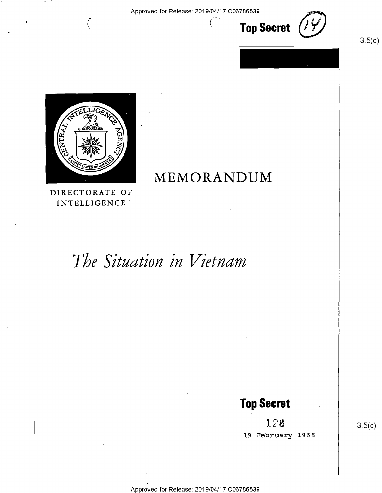

 $3.5(c)$ 



INTELLIGENCE'

# The Situation in Vietnam

## Top Secret

12\$ 19 February 1968

 $3.5(c)$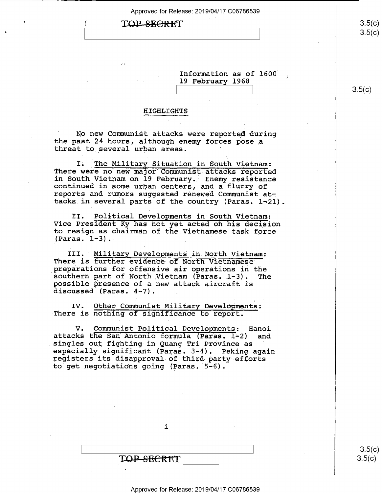| LOP-SE <del>CRE</del> T |
|-------------------------|
|-------------------------|

.»

 $\bullet$   $\qquad \qquad$ 

<u>ə.ə(</u>c)  $\sqrt{ }$  $3.5(c)$ 

Information as of 1600 19 February 1968

 $\begin{bmatrix} 0 & 0 & 0 \\ 0 & 0 & 0 \\ 0 & 0 & 0 \end{bmatrix}$   $\begin{bmatrix} 0 & 0 & 0 \\ 0 & 0 & 0 \\ 0 & 0 & 0 \end{bmatrix}$   $\begin{bmatrix} 0 & 0 & 0 \\ 0 & 0 & 0 \\ 0 & 0 & 0 \end{bmatrix}$ 

### HIGHLIGHTS

No new Communist attacks were reported during the past 24 hours, although enemy forces pose a threat to several urban areas.

I. The Military Situation in South Vietnam: There were no new major Communist attacks reported<br>in South Vietnam on 19 February. Enemy resistance continued in some urban centers, and a flurry of<br>reports and rumors suggested renewed Communist attacks in several parts of the country (Paras. 1-21).

II. Political Developments in South.Vietnam: Vice President Ky has not yet acted on his decision to resign as chairman of the.Vietnamese task force  $(Paras. 1-3)$ .

III. Military Developments in North Vietnam:<br>There is further evidence of North Vietnamese preparations for offensive air operations in the southern part of North Vietnam (Paras. 1-3). The possible presence of a new attack aircraft is- discussed (Paras. 4-7).

IV. Other Communist Military.Deve1opments: There is nothing of significance to report.

V. Communist Political Developments: Hanoi<br>ks the San Antonio formula (Paras. 1-2) and attacks the San Antonio formula (Paras. 1-2) singles out fighting in Quang Tri Province as especially significant (Paras. 3-4). Peking again registers its disapproval of third party efforts to get negotiations going (Paras. 5-6).

i

T<del>OP SECRE</del>T

\ \ 350:  $3.5(c)$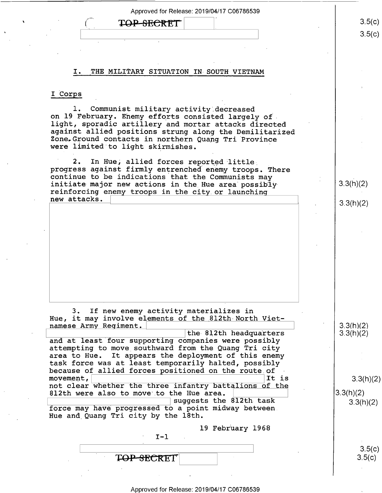### TOP-SECRET

### I. THE MILITARY SITUATION IN SOUTH VIETNAM

### I Corps

~

1. Communist military activity decreased<br>on 19 February. Enemy efforts consisted largely of<br>light, sporadic artillery and mortar attacks directed against allied positions strung along the Demilitarized<br>Zone.Ground contacts in northern Quang Tri Province<br>were limited to light skirmishes.

2. In Hue, allied forces reported little<br>progress against firmly entrenched enemy troops. There<br>continue to be indications that the Communists may<br>initiate major new actions in the Hue area possibly  $3.3(h)(2)$ initiate major new actions in the Hue area possiblyreinforcing enemy troops in the city or launching<br>new attacks.

3. If new enemy activity materializes in . Hue, it may involve elements of the 812th-North Vietnamese Army Regiment.  $\vert$  the 812th headquarters  $\vert$  3.3(h)(2)  $\vert$  3.3(h)(2)

and at least four supporting companies were possibly attempting to move southward from the Quang Tri city area to Hue. It appears the deployment of this enemy<br>task force was at least temporarily halted, possibly because of allied forces positioned on the route of movement.  $\begin{array}{|l|} \hline \end{array}$ movement,  $\vert$  3.3(h)(2) not clear whether the three infantry battalions of the  $\vert$  3.3(h)(2) 3.3(h)(2) 812th were also to move to the Hue area.  $\vert$   $\vert$  3.3(h)(2)  $\vert$  3.3(h)(2)  $\vert$  3.3(h)(2)

force may have progressed to a point midway between Hue and Quang Tri city by the 18th.

 $I - 1$ 

l9 February 1968

T<del>OP SEC</del>RET

Approved for Release: 2019/04/17 C06786539

 $3.5(c)$  $3.5(c)$ \ \ &5(

 $3.3(h)(2)$ 

 $\begin{bmatrix} 3.5(c) \end{bmatrix}$ 

 $3.5(c)$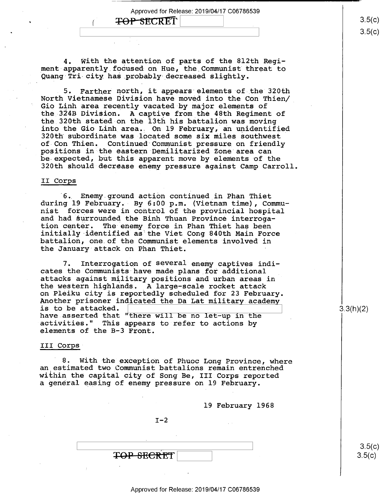### **TOP-SECRET**

4. With the attention of parts of the 812th Regi ment apparently focused on Hue, the Communist threat to Quang Tri-city has.probably decreased slightly.

5. Farther north, it appears elements of the 320th North Vietnamese Division have moved into the Con Thien/ Gio Linh area recently vacated by major elements of the 324B Division. A captive from the 48th Regiment of the 320th stated on the 13th his battalion was moving<br>into the Gio Linh area. On 19 February, an unidentified 320th subordinate was located some six miles southwest<br>of Con Thien. Continued Communist pressure on friendly<br>positions in the eastern Demilitarized Zone area can<br>be expected, but this apparent move by elements of the 320th should decrease enemy pressure against Camp Carroll.

#### II Corps

'6. Enemy ground action continued in Phan Thiet during 19 February.- By 6:00 p.m. (Vietnam time), Communist forces were in control of the provincial hospital and had surrounded the Binh Thuan Province interroga-<br>tion center. The enemy force in Phan Thiet has been initially identified as the Viet Cong 840th Main Force battalion, one.of the Communist elements involved in the January attack on Phan Thiet.

7. Interrogation of several enemy captives indicates the Communists have made plans for additional \_ attacks against military positions and urban areas in the western highlands. A large-scale rocket attack<br>on Pleiku city is reportedly scheduled for 23 February. Another prisoner indicated the Da Lat military academy is to be attacked. is to be attacked.<br>have asserted that "there will be no let-up in the  $\begin{array}{|l|} \hline \end{array} \hspace{1.2cm} \begin{array}{c} 3.3(\mathsf{h})(2) \end{array}$ activities." This appears to refer to actions by elements of the B-3 Front.

### III Corps

8. With the exception of Phuoc Long Province, where an estimated two Communist battalions remain entrenched within the capital city of Song Be, III Corps reported a general easing of enemy pressure on 19 February.

19 February 1968

 $I-2$ 

 $\begin{array}{c|c|c|c} \textbf{TOP} & \textbf{SECRET} & & & & 3.5(c) \\ \hline & & & & & 3.5(c) & & \\ \hline \end{array}$ 

Approved for Release: 2019/04/17 C06786539

 $3.5(c)$ 

 $3.5(c)$ O \  $3.5(c)$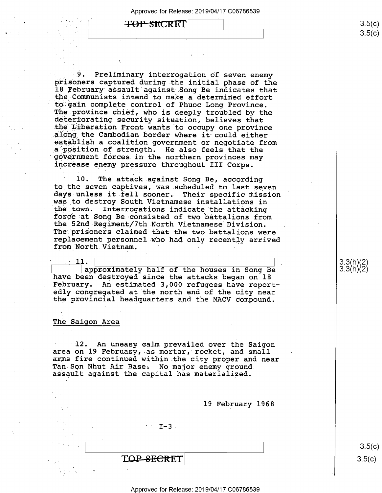### **TOP SECRET**

 $\ddot{\phantom{1}}$ 

.\_\_';9. Preliminary interrogation of seven enemy prisoners captured during.the initial phase of the 18 February assault against Song Be indicates that the Communists intend to make a determined effort to gain complete control of Phuoc Long Province. The province chief, who is deeply troubled by the deteriorating security situation, believes that the Liberation Front wants to occupy one province along the Cambodian border where it could either establish a coalition government or negotiate from a position of strength. He also feels that the government forces in the northern provinces may increase enemy pressure throughout III Corps.

10. The attack against Song Be, according<br>to the seven captives, was scheduled to last seven days unless it fell sooner. Their specific mission was to destroy South Vietnamese installations in the town. Interrogations indicate the attacking force at Song Be consisted of two battalions from the 52nd Regiment/7th North Vietnamese Division. replacement personnel who had only recently arrived from North Vietnam. - -

11.  $\qquad \qquad$   $\qquad$  approximately half of the houses in Song Be have been destroyed since the attacks began on 18 February. An estimated 3,000 refugees have reportedly congregated at the north end of the city near the provincial headquarters and the MACV compound.

### The Saigon Area

12. An uneasy calm prevailed over the Saigon area on 19 February, as mortar, rocket, and small arms fire continued within the city proper and near Tan Son Nhut Air Base. No major enemy ground. assault against the capital has materialized.

19 February 1968

 $-1-3$ 

TOP-SECRET

 $3.5(c)$  $3.5(c)$ 

 $\frac{9}{2}$  $\frac{9}{2}$  $\frac{11}{2}$  $\frac{1}{2}$  $\frac{6}{2}$ 

 $(11)(2)$ 

#### Approved for Release: 2019/04/17 C06786539

 $3.5(c)$  $3.5 (c)$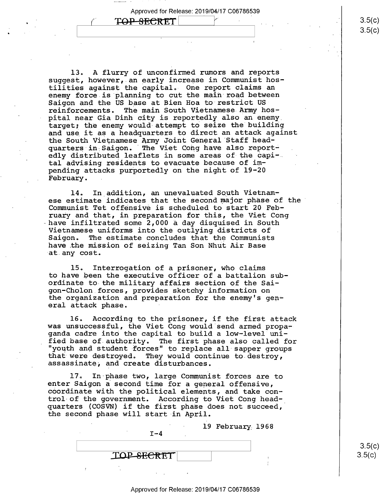$\begin{bmatrix} \cos\theta & \sin\theta & \sin\theta\end{bmatrix}$  , and  $\begin{bmatrix} \cos\theta & \sin\theta & \sin\theta\end{bmatrix}$  , and  $\begin{bmatrix} \cos\theta & \sin\theta\end{bmatrix}$ 

 $\begin{array}{|c|c|c|c|c|c|}\hline \textbf{Y} & \textbf{TOP-SEARCH} & & \textbf{S} & \textbf{S(1)}\ \hline \end{array}$ 

 $\bullet$ 

13. A flurry of unconfirmed rumors and reports suggest, however, an early increase in Communist hostilities against the capital. One report claims an enemy force is planning to cut the main road between Saigon and the US base at Bien Hoa to restrict US reinforcements. The main South Vietnamese Army hospital near Gia Dinh city is reportedly also an enemy. target; the enemy would attempt to seize the building and use it as a headquarters to direct an attack against the South Vietnamese Army Joint General Staff headquarters in Saigon. The Viet Cong have also reportedly distributed leaflets in some areas of the capi-. tal advising residents to evacuate because of impending attacks purportedly on the night of 19-20 February.

14. In addition, an unevaluated South Vietnamese estimate indicates that the second major phase of the Communist Tet offensive is scheduled to start 20 February and that, in preparation for this, the Viet Cong<br>have infiltrated some 2,000 a day disquised in South Vietnamese uniforms into the outlying districts of Saigon. The estimate concludes that the Communists have the mission of seizing Tan Son Nhut Air Base at.any cost.

15. Interrogation of a prisoner, who claims to have been the executive officer of a battalion subordinate to the military affairs section of the Saigon-Cholon forces, provides sketchy information on the organization and preparation for the enemy's general attack phase.

16. According to the prisoner, if the first attack was unsuccessful, the Viet Cong would send armed propa- ganda cadre into the capital to build a low-level unified base of authority. The first phase also called for "youth and student forces" to replace all sapper groups that were destroyed. They would continue to destroy, assassinate, and create disturbances.

17° In phase two, large Communist forces are to enter Saigon a second time for a general offensive, coordinate with the political elements, and take control of the government. According to Viet Cong headquarters (COSVN) if the first phase does not succeed, the second phase will start in April.

> 19 February 1968<br>I-4  $\vert$  s.5(c)  $\text{TOP-SECRET}$  3.5(c)

 $3.5(c)$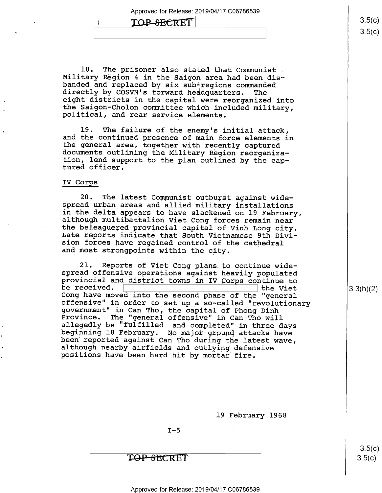### TOP-SECRET

18. The prisoner also stated that Communist - Military Region 4 in the Saigon area had been disbanded and replaced by six sub-regions commanded<br>directly by COSVN's forward headquarters. The<br>eight districts in the capital were reorganized into<br>the Saigon-Cholon committee which included military,<br>political, and rear s

l9. The failure of the enemy's initial attack, and the continued presence of main force elements in the general area, together with recently captured documents outlining the Military Region reorganization, lend support to the plan outlined by the cap- tured officer.

### IV Corps

1'

20. The latest Communist outburst against wide-<br>spread urban areas and allied military installations<br>in the delta appears to have slackened on 19 February,<br>although multibattalion Viet Cong forces remain near<br>the beleaguer

21. Reports of Viet Cong plans. to continue wide-<br>spread offensive operations against heavily populated<br>provincial and district towns in IV Corps continue to<br>be received.  $\hfill$  the Viet<br>Cong have moved into the second phas offensive" in order to set up a so-called "revolutionary<br>government" in Can Tho, the capital of Phong Dinh<br>Province. The "general offensive" in Can Tho will<br>allegedly be "fulfilled and completed" in three days<br>beginning 18

| 19 February 1968 |  |  |
|------------------|--|--|
|------------------|--|--|

 $I - 5$ 

 $3.5(c)$  $3.5(c)$ 

3.3(h)(2)

### Approved for Release: 2019/04/17 C06786539

 $3.5(c)$  $3.5 (c)$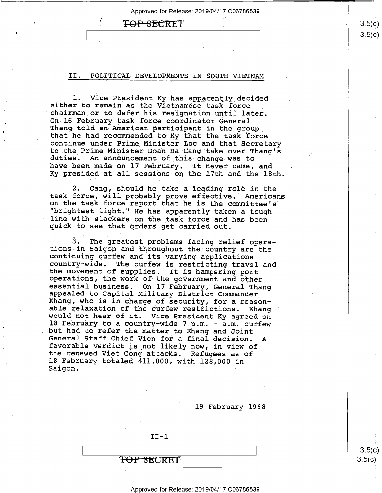Approved for Release: 2019/04/17 C06786539 Approved for Release: 2019/04/17 C06786539<br>  $\begin{picture}(180,14) \put(0,0){\line(1,0){155}} \put(15,0){\line(1,0){155}} \put(15,0){\line(1,0){155}} \put(15,0){\line(1,0){155}} \put(15,0){\line(1,0){155}} \put(15,0){\line(1,0){155}} \put(15,0){\line(1,0){155}} \put(15,0){\line(1,0){155}} \put(15,0){\line(1,0$ 

### II. POLITICAL DEVELOPMENTS IN SOUTH VIETNAM

1. Vice President Ky has apparently decided<br>either to remain as the Vietnamese task force<br>chairman or to defer his resignation until later.<br>On 16 February task force coordinator General<br>Thang told an American participant i duties. An announcement of this change was to<br>have been made on 17 February. It never came, and have been made on 17 February. Ky presided at all sessions on-the l7th and the 18th.

2. Cang, should he take a leading role in the task force, will probably prove effective. Americans on the task force report that he is the committee's "brightest light." He has apparently taken a tough quick to see that orders get carried out.

3. The greatest problems facing relief opera-<br>tions in Saigon and throughout the country are the<br>continuing curfew and its varying applications<br>country-wide. The curfew is restricting travel and<br>the movement of supplies. I Khang, who is in charge of security, for a reason-<br>able relaxation of the curfew restrictions. Khang<br>would not hear of it. Vice President Ky agreed on<br>18 February to a country-wide 7 p.m. - a.m. curfew but had to refer the matter to Khang and Joint<br>General Staff Chief Vien for a final decision. A<br>favorable verdict is not likely now, in view of<br>the renewed Viet Cong attacks. Refugees as of 18 February totaled 411,000, with 128,000 in Saigon.

19 February 1968

II—l **FOP SECRET**   $3.5(c)$  $3.5(c$ ))

 $3.5(c)$  $3.5(c)$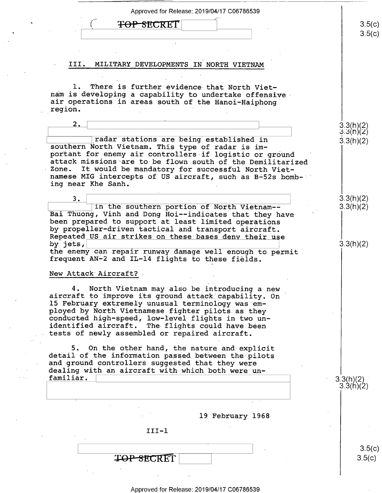| Approved for Release: 2019/04/17 C06786539                                                                                                                                                                                                                                                                                                                                   |                        |
|------------------------------------------------------------------------------------------------------------------------------------------------------------------------------------------------------------------------------------------------------------------------------------------------------------------------------------------------------------------------------|------------------------|
| <del>TOP SEC</del> RET                                                                                                                                                                                                                                                                                                                                                       | 3.5(c)<br>3.5(c)       |
|                                                                                                                                                                                                                                                                                                                                                                              |                        |
| MILITARY DEVELOPMENTS IN NORTH VIETNAM<br>III.                                                                                                                                                                                                                                                                                                                               |                        |
|                                                                                                                                                                                                                                                                                                                                                                              |                        |
| There is further evidence that North Viet-<br>nam is developing a capability to undertake offensive<br>air operations in areas south of the Hanoi-Haiphong<br>region.                                                                                                                                                                                                        |                        |
| 2.                                                                                                                                                                                                                                                                                                                                                                           | 3.3(h)(2)<br>3.3(h)(2) |
| radar stations are being established in<br>southern North Vietnam. This type of radar is im-<br>portant for enemy air controllers if logistic or ground<br>attack missions are to be flown south of the Demilitarized<br>It would be mandatory for successful North Viet-<br>Zone.<br>namese MIG intercepts of US aircraft, such as B-52s bomb-<br>ing near Khe Sanh.        | 3.3(h)(2)              |
| 3.<br>in the southern portion of North Vietnam--<br>Bai Thuong, Vinh and Dong Hoi--indicates that they have<br>been prepared to support at least limited operations<br>by propeller-driven tactical and transport aircraft.                                                                                                                                                  | 3.3(h)(2)<br>3.3(h)(2) |
| Repeated US air strikes on these bases deny their use<br>by jets,<br>the enemy can repair runway damage well enough to permit<br>frequent AN-2 and IL-14 flights to these fields.<br>New Attack Aircraft?                                                                                                                                                                    | 3.3(h)(2)              |
| 4. North Vietnam may also be introducing a new<br>aircraft to improve its ground attack capability. On<br>15 February extremely unusual terminology was em-<br>ployed by North Vietnamese fighter pilots as they<br>conducted high-speed, low-level flights in two un-<br>identified aircraft. The flights could have been<br>tests of newly assembled or repaired aircraft. |                        |
| 5. On the other hand, the nature and explicit<br>detail of the information passed between the pilots<br>and ground controllers suggested that they were<br>dealing with an aircraft with which both were un-                                                                                                                                                                 |                        |
| familiar.                                                                                                                                                                                                                                                                                                                                                                    | 3.3(h)(2)<br>3.3(h)(2  |
| 19 February 1968                                                                                                                                                                                                                                                                                                                                                             |                        |
| $III - 1$                                                                                                                                                                                                                                                                                                                                                                    |                        |
|                                                                                                                                                                                                                                                                                                                                                                              | 3.5(c)<br>3.5(c)       |
|                                                                                                                                                                                                                                                                                                                                                                              |                        |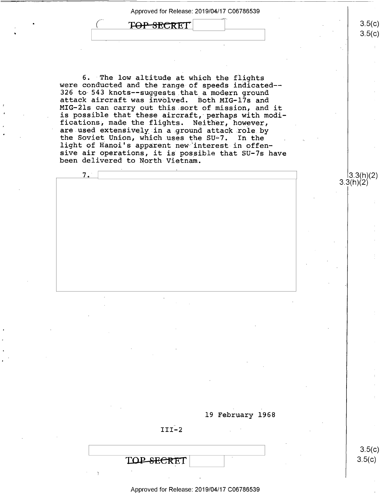TOP SECRET

 $\sqrt{C}$ 

7."

.

6. ~The low altitude at which the flights were conducted and the range of speeds indicated-— 326 to 543 knots--suggests that a modern ground<br>attack aircraft was involved. Both MIG-17s and MIG-21s can carry out this sort of mission, and it is possible that these aircraft, perhaps with modi-<br>fications, made the flights. Neither, however, are used extensively in a ground attack role by<br>the Soviet Union, which uses the SU-7. In the<br>light of Hanoi's apparent new interest in offensive air operations, it is possible that SU-7s have been delivered to North Vietnam.



 $III-2$ 

TOP-SECRET

၁.၁(C)  $3.5(c)$ 

 $3.5(c)$ 

 $3.5(c)$ 

 $3.3(h)(2)$   $^{\circ}$ 

### Approved for Release: 2019/04/17 C06786539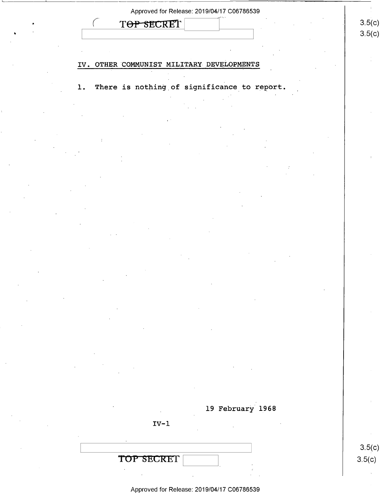| TOP SECRET<br>IV. OTHER COMMUNIST MILITARY DEVELOPMENTS<br>There is nothing of significance to report.<br>$\mathbf 1$ . |        |
|-------------------------------------------------------------------------------------------------------------------------|--------|
|                                                                                                                         | 3.5(c) |
|                                                                                                                         | 3.5(c) |
|                                                                                                                         |        |
|                                                                                                                         |        |
|                                                                                                                         |        |
|                                                                                                                         |        |
|                                                                                                                         |        |
|                                                                                                                         |        |
|                                                                                                                         |        |
|                                                                                                                         |        |
|                                                                                                                         |        |
|                                                                                                                         |        |
|                                                                                                                         |        |
|                                                                                                                         |        |
|                                                                                                                         |        |
|                                                                                                                         |        |
|                                                                                                                         |        |
|                                                                                                                         |        |
|                                                                                                                         |        |
|                                                                                                                         |        |
|                                                                                                                         |        |
|                                                                                                                         |        |
|                                                                                                                         |        |
|                                                                                                                         |        |
|                                                                                                                         |        |
|                                                                                                                         |        |
|                                                                                                                         |        |
|                                                                                                                         |        |
|                                                                                                                         |        |
| 19 February 1968                                                                                                        |        |
| $IV-1$                                                                                                                  |        |
|                                                                                                                         |        |
|                                                                                                                         | 3.5(c) |
| TOP SECRET                                                                                                              | 3.5(c) |

'

k)

k)

 $\sim$   $\sim$ 

 $\sim$ 

 $\sim 10$ 

 $\sim 10^7$ 

Approved for Release: 2019/04/17 C06786539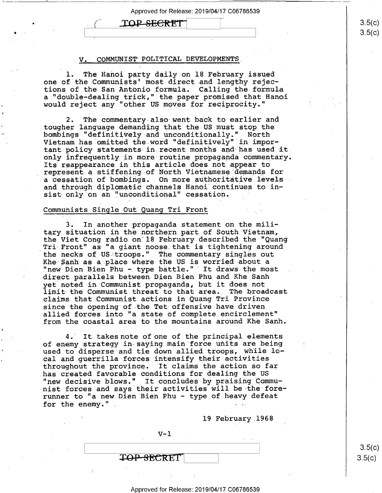## $\text{TOP}$  SECRET  $\vert$  3.5(c)

| <del>| International Property Company and International Property Company and International Property Company and International Property Company and International Property Company and International Property Company and Interna</del>

~

### V. COMMUNIST POLITICAL DEVELOPMENTS

1. The Hanoi party daily on 18 February issued one of the Communists' most direct and lengthy rejections of the San Antonio formula. Calling the formula a "double—dealing trick," the paper promised that Hanoi would reject any "other US moves for reciprocity."

2. The commentary-also went back to earlier and tougher language demanding that the US must stop the bombings "definitively and unconditionally." North Vietnam has omitted the word "definitively" in important-policy statements in recent months and has used itonly infrequently in more routine propaganda commentary. Its reappearance in this article does not appear to represent-a stiffening-of North Vietnamese demands for a cessation of bombings. On more authoritative levels and through diplomatic channels Hanoi continues to insist only on an "unconditional" cessation.

#### Communists Single Out Quang Tri Front

3. In another propaganda statement on the military situation in the northern part of South Vietnam, the Viet Cong radio on 18 February described the "Quang Tri-Front" as "a giant noose.that is tightening around the necks of US troops." The commentary singles out Khe Sanh as a place where the US is worried about a "new Dien Bien Phu - type battle." It draws the most direct.parallels between Dien Bien Phu and Khe Sanh yet noted in Communist-propaganda, but it does.not limit the Communist threat to that area- The broadcast claims that.Communist actions in Quang Tri Province since the opening of the Tet offensive have driven allied forces into "a state of complete.encirclement" from the coastal area to the mountains around Khe Sanh.

4. It takes note of one of the principal elements of enemy strategy in saying main force units are being. used to disperse and tie down allied troops, while local and querrilla forces intensify their activities throughout the province. It claims the action so far has-created favorable conditions for dealing the US "new decisive blows." It concludes by praising Communist forces and says their activities will be the forerunner to "a new Dien Bien Phu - type of heavy defeat for the enemy." . - ~

19 February 1968

 $V-1$ TOP SECRET

 $3.5(c)$  $3.5(c)$ 

#### Approved for Release: 2019/04/17 C06786539

 $3.5(c$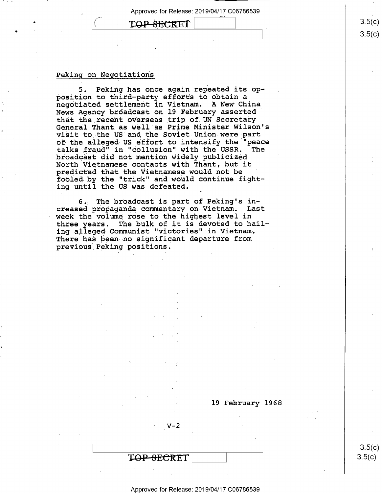### TOP SECRET

### Peking on Negotiations

 $\bullet$  . The set of  $\{1, 2, \ldots, 5\}$ 

5. Peking has once again repeated its opposition to third—party efforts to obtain a negotiated settlement in Vietnam. A New China News Agency broadcast on l9 February asserted that the recent overseas trip of.UN Secretary General Thant as well as Prime Minister Wilson's visit to the US and the Soviet Union were part of the alleged US effort to intensify the "peace talks fraud" in "collusion" with the USSR. The broadcast did not mention widely publicized North Vietnamese contacts with Thant, but it predicted that the Vietnamese would not be fooled by the "trick" and would continue fighting until the US was defeated.

6.; The broadcast is part of Peking's increased propaganda commentary on Vietnam. Last week the volume rose to the highest level in three years. The bulk of it is devoted to hailing alleged Communist "victories" in Vietnam. There has been no significant departure from previous Peking positions.

l9 February l968\_

 $V - 2$ 

T<del>OP SECRE</del>T

Approved for Release: 2019/04/17 C06786539 \_ \_ \_

 $3.5(c)$  $3.5(c)$ 

 $3.5(c)$  $3.5(c$